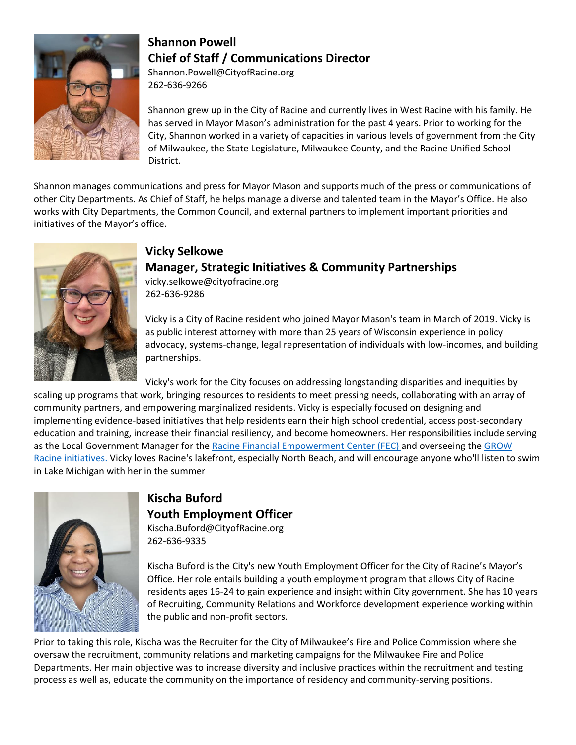

### **Shannon Powell Chief of Staff / Communications Director**

Shannon.Powell@CityofRacine.org 262-636-9266

Shannon grew up in the City of Racine and currently lives in West Racine with his family. He has served in Mayor Mason's administration for the past 4 years. Prior to working for the City, Shannon worked in a variety of capacities in various levels of government from the City of Milwaukee, the State Legislature, Milwaukee County, and the Racine Unified School District.

Shannon manages communications and press for Mayor Mason and supports much of the press or communications of other City Departments. As Chief of Staff, he helps manage a diverse and talented team in the Mayor's Office. He also works with City Departments, the Common Council, and external partners to implement important priorities and initiatives of the Mayor's office.



#### **Vicky Selkowe**

## **Manager, Strategic Initiatives & Community Partnerships**

vicky.selkowe@cityofracine.org 262-636-9286

Vicky is a City of Racine resident who joined Mayor Mason's team in March of 2019. Vicky is as public interest attorney with more than 25 years of Wisconsin experience in policy advocacy, systems-change, legal representation of individuals with low-incomes, and building partnerships.

Vicky's work for the City focuses on addressing longstanding disparities and inequities by scaling up programs that work, bringing resources to residents to meet pressing needs, collaborating with an array of community partners, and empowering marginalized residents. Vicky is especially focused on designing and implementing evidence-based initiatives that help residents earn their high school credential, access post-secondary education and training, increase their financial resiliency, and become homeowners. Her responsibilities include serving as the Local Government Manager for the Racine Financial [Empowerment](http://www.racinefec.org/) Center (FEC) and overseeing the [GROW](http://www.growracine.org/) Racine [initiatives.](http://www.growracine.org/) Vicky loves Racine's lakefront, especially North Beach, and will encourage anyone who'll listen to swim in Lake Michigan with her in the summer



#### **Kischa Buford Youth Employment Officer** Kischa.Buford@CityofRacine.org

262-636-9335

Kischa Buford is the City's new Youth Employment Officer for the City of Racine's Mayor's Office. Her role entails building a youth employment program that allows City of Racine residents ages 16-24 to gain experience and insight within City government. She has 10 years of Recruiting, Community Relations and Workforce development experience working within the public and non-profit sectors.

Prior to taking this role, Kischa was the Recruiter for the City of Milwaukee's Fire and Police Commission where she oversaw the recruitment, community relations and marketing campaigns for the Milwaukee Fire and Police Departments. Her main objective was to increase diversity and inclusive practices within the recruitment and testing process as well as, educate the community on the importance of residency and community-serving positions.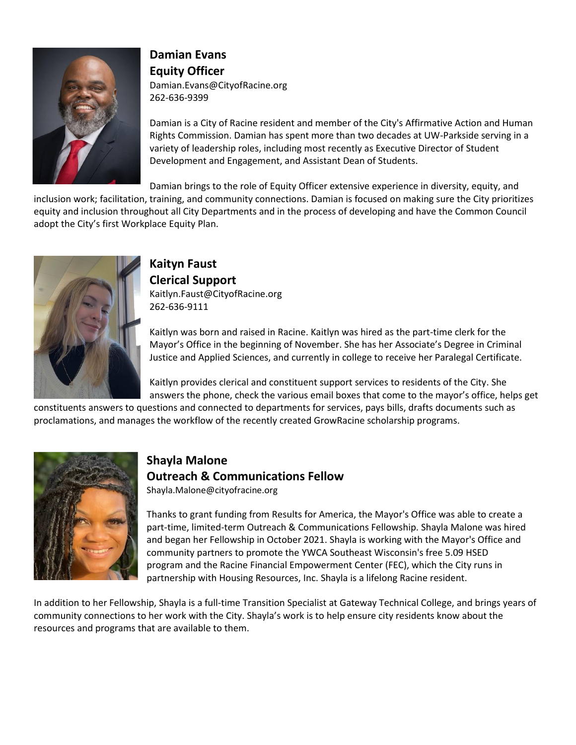

#### **Damian Evans Equity Officer** Damian.Evans@CityofRacine.org

262-636-9399

Damian is a City of Racine resident and member of the City's Affirmative Action and Human Rights Commission. Damian has spent more than two decades at UW-Parkside serving in a variety of leadership roles, including most recently as Executive Director of Student Development and Engagement, and Assistant Dean of Students.

Damian brings to the role of Equity Officer extensive experience in diversity, equity, and

inclusion work; facilitation, training, and community connections. Damian is focused on making sure the City prioritizes equity and inclusion throughout all City Departments and in the process of developing and have the Common Council adopt the City's first Workplace Equity Plan.



#### **Kaityn Faust Clerical Support** Kaitlyn.Faust@CityofRacine.org 262-636-9111

Kaitlyn was born and raised in Racine. Kaitlyn was hired as the part-time clerk for the Mayor's Office in the beginning of November. She has her Associate's Degree in Criminal Justice and Applied Sciences, and currently in college to receive her Paralegal Certificate.

Kaitlyn provides clerical and constituent support services to residents of the City. She answers the phone, check the various email boxes that come to the mayor's office, helps get

constituents answers to questions and connected to departments for services, pays bills, drafts documents such as proclamations, and manages the workflow of the recently created GrowRacine scholarship programs.



# **Shayla Malone**

#### **Outreach & Communications Fellow**

Shayla.Malone@cityofracine.org

Thanks to grant funding from Results for America, the Mayor's Office was able to create a part-time, limited-term Outreach & Communications Fellowship. Shayla Malone was hired and began her Fellowship in October 2021. Shayla is working with the Mayor's Office and community partners to promote the YWCA Southeast Wisconsin's free 5.09 HSED program and the Racine Financial Empowerment Center (FEC), which the City runs in partnership with Housing Resources, Inc. Shayla is a lifelong Racine resident.

In addition to her Fellowship, Shayla is a full-time Transition Specialist at Gateway Technical College, and brings years of community connections to her work with the City. Shayla's work is to help ensure city residents know about the resources and programs that are available to them.